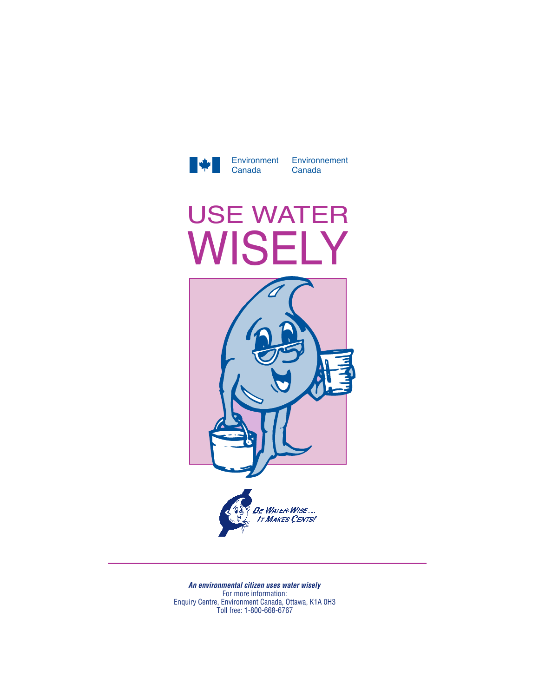

Environnement Canada

## USE WATER WISELY



*An environmental citizen uses water wisely* For more information: Enquiry Centre, Environment Canada, Ottawa, K1A 0H3 Toll free: 1-800-668-6767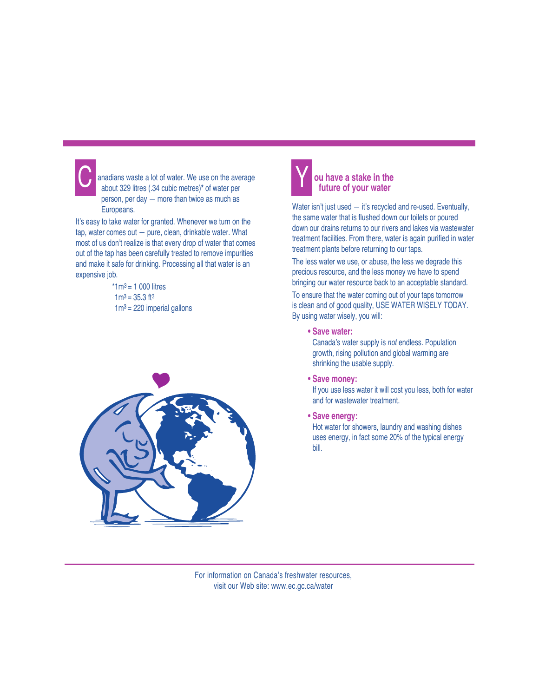anadians waste a lot of water. We use on the average<br>about 329 litres (34 cubic metres)\* of water per about 329 litres (.34 cubic metres)**\*** of water per person, per day — more than twice as much as Europeans.

It's easy to take water for granted. Whenever we turn on the tap, water comes out — pure, clean, drinkable water. What most of us don't realize is that every drop of water that comes out of the tap has been carefully treated to remove impurities and make it safe for drinking. Processing all that water is an expensive job.

> $*1m^3 = 1000$  litres  $1m^3 = 35.3$  ft<sup>3</sup>  $1m^3$  = 220 imperial gallons





## **ou have a stake in the future of your water**

Water isn't just used — it's recycled and re-used. Eventually, the same water that is flushed down our toilets or poured down our drains returns to our rivers and lakes via wastewater treatment facilities. From there, water is again purified in water treatment plants before returning to our taps.

The less water we use, or abuse, the less we degrade this precious resource, and the less money we have to spend bringing our water resource back to an acceptable standard.

To ensure that the water coming out of your taps tomorrow is clean and of good quality, USE WATER WISELY TODAY. By using water wisely, you will:

**• Save water:**

Canada's water supply is *not* endless. Population growth, rising pollution and global warming are shrinking the usable supply.

**• Save money:**

If you use less water it will cost you less, both for water and for wastewater treatment.

**• Save energy:**

Hot water for showers, laundry and washing dishes uses energy, in fact some 20% of the typical energy bill.

For information on Canada's freshwater resources, visit our Web site: www.ec.gc.ca/water